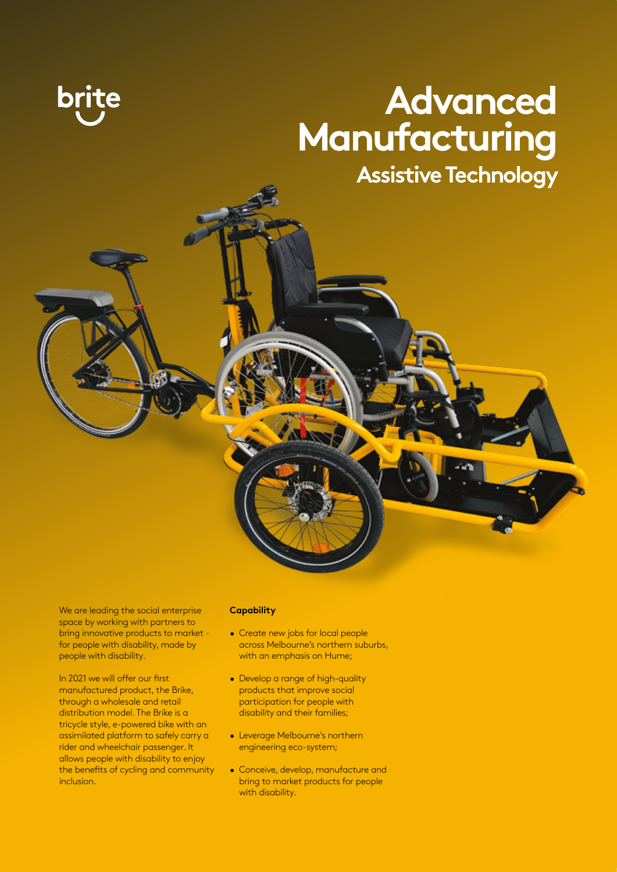## **Advanced Manufacturing**

**Assistive Technology**

We are leading the social enterprise space by working with partners to bring innovative products to market for people with disability, made by people with disability.

In 2021 we will offer our first manufactured product, the Brike, through a wholesale and retail distribution model. The Brike is a tricycle style, e-powered bike with an assimilated platform to safely carry a rider and wheelchair passenger. It allows people with disability to enjoy the benefits of cycling and community inclusion.

#### **Capability**

- Create new jobs for local people across Melbourne's northern suburbs, with an emphasis on Hume;
- Develop a range of high-quality products that improve social participation for people with disability and their families;
- Leverage Melbourne's northern engineering eco-system;
- Conceive, develop, manufacture and bring to market products for people with disability.